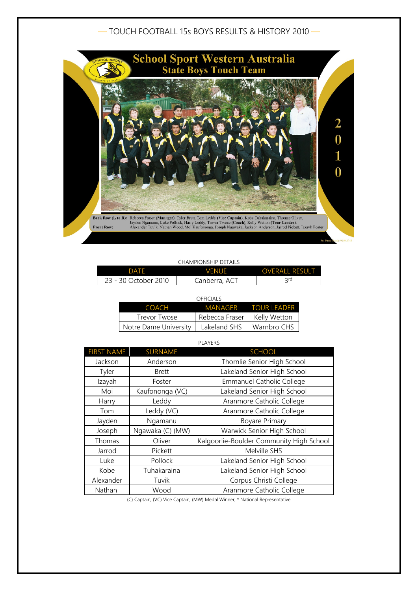## — TOUCH FOOTBALL 15s BOYS RESULTS & HISTORY 2010 —



## CHAMPIONSHIP DETAILS

| DATF                 | VFNUF         | <b>OVERALL RESULT</b> |
|----------------------|---------------|-----------------------|
| 23 - 30 October 2010 | Canberra, ACT | ን rd                  |

| OFFICIALS             |                |                     |
|-----------------------|----------------|---------------------|
| <b>COACH</b>          |                | MANAGER TOUR LEADER |
| Trevor Twose          | Rebecca Fraser | Kelly Wetton        |
| Notre Dame University | Lakeland SHS   | Warnbro CHS         |

| <b>PLAYERS</b>    |                  |                                          |
|-------------------|------------------|------------------------------------------|
| <b>FIRST NAME</b> | <b>SURNAME</b>   | <b>SCHOOL</b>                            |
| Jackson           | Anderson         | Thornlie Senior High School              |
| Tyler             | <b>Brett</b>     | Lakeland Senior High School              |
| Izayah            | Foster           | Emmanuel Catholic College                |
| Moi               | Kaufononga (VC)  | Lakeland Senior High School              |
| Harry             | Leddy            | Aranmore Catholic College                |
| Tom               | Leddy (VC)       | Aranmore Catholic College                |
| Jayden            | Ngamanu          | <b>Boyare Primary</b>                    |
| Joseph            | Ngawaka (C) (MW) | Warwick Senior High School               |
| Thomas            | Oliver           | Kalgoorlie-Boulder Community High School |
| Jarrod            | Pickett          | Melville SHS                             |
| Luke              | Pollock          | Lakeland Senior High School              |
| Kobe              | Tuhakaraina      | Lakeland Senior High School              |
| Alexander         | Tuvik            | Corpus Christi College                   |
| Nathan            | Wood             | Aranmore Catholic College                |

(C) Captain, (VC) Vice Captain, (MW) Medal Winner, \* National Representative